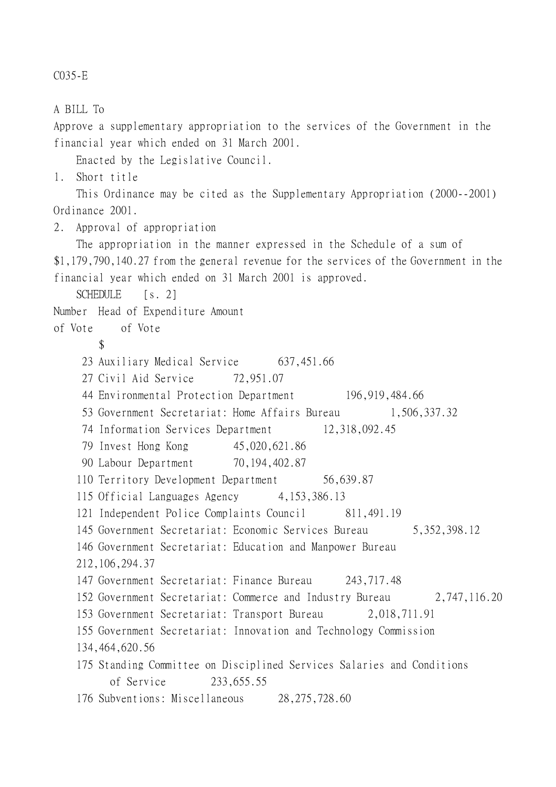C035-E

A BILL To

Approve a supplementary appropriation to the services of the Government in the financial year which ended on 31 March 2001.

Enacted by the Legislative Council.

1. Short title

This Ordinance may be cited as the Supplementary Appropriation (2000--2001) Ordinance 2001.

2. Approval of appropriation

The appropriation in the manner expressed in the Schedule of a sum of \$1,179,790,140.27 from the general revenue for the services of the Government in the financial year which ended on 31 March 2001 is approved.

SCHEDULE [s. 2]

Number Head of Expenditure Amount

of Vote of Vote

\$

- 23 Auxiliary Medical Service 637,451.66
- 27 Civil Aid Service 72,951.07

44 Environmental Protection Department 196,919,484.66

- 53 Government Secretariat: Home Affairs Bureau 1,506,337.32
- 74 Information Services Department 12,318,092.45

79 Invest Hong Kong 45,020,621.86

90 Labour Department 70, 194, 402.87

110 Territory Development Department 56,639.87

115 Official Languages Agency 4,153,386.13

121 Independent Police Complaints Council 811,491.19

145 Government Secretariat: Economic Services Bureau 5,352,398.12

146 Government Secretariat: Education and Manpower Bureau

212,106,294.37

```
147 Government Secretariat: Finance Bureau 243,717.48
```
152 Government Secretariat: Commerce and Industry Bureau 2,747,116.20

153 Government Secretariat: Transport Bureau 2,018,711.91

```
155 Government Secretariat: Innovation and Technology Commission
```

```
134,464,620.56
```
- 175 Standing Committee on Disciplined Services Salaries and Conditions of Service 233,655.55
- 176 Subventions: Miscellaneous 28,275,728.60